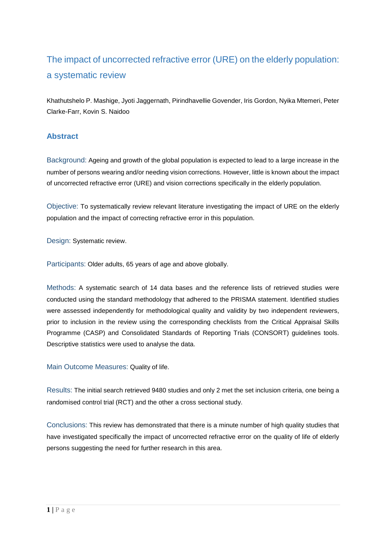# The impact of uncorrected refractive error (URE) on the elderly population: a systematic review

Khathutshelo P. Mashige, Jyoti Jaggernath, Pirindhavellie Govender, Iris Gordon, Nyika Mtemeri, Peter Clarke-Farr, Kovin S. Naidoo

# **Abstract**

Background: Ageing and growth of the global population is expected to lead to a large increase in the number of persons wearing and/or needing vision corrections. However, little is known about the impact of uncorrected refractive error (URE) and vision corrections specifically in the elderly population.

Objective: To systematically review relevant literature investigating the impact of URE on the elderly population and the impact of correcting refractive error in this population.

Design: Systematic review.

Participants: Older adults, 65 years of age and above globally.

Methods: A systematic search of 14 data bases and the reference lists of retrieved studies were conducted using the standard methodology that adhered to the PRISMA statement. Identified studies were assessed independently for methodological quality and validity by two independent reviewers, prior to inclusion in the review using the corresponding checklists from the Critical Appraisal Skills Programme (CASP) and Consolidated Standards of Reporting Trials (CONSORT) guidelines tools. Descriptive statistics were used to analyse the data.

Main Outcome Measures: Quality of life.

Results: The initial search retrieved 9480 studies and only 2 met the set inclusion criteria, one being a randomised control trial (RCT) and the other a cross sectional study.

Conclusions: This review has demonstrated that there is a minute number of high quality studies that have investigated specifically the impact of uncorrected refractive error on the quality of life of elderly persons suggesting the need for further research in this area.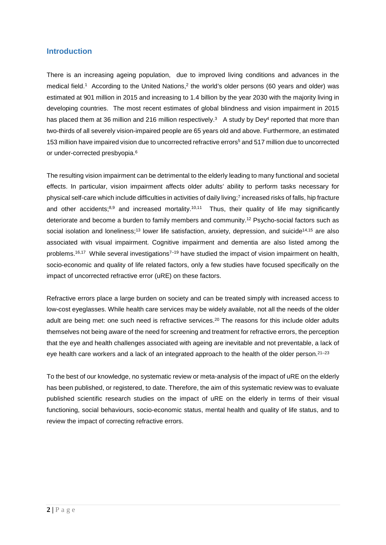## **Introduction**

There is an increasing ageing population, due to improved living conditions and advances in the medical field.<sup>1</sup> According to the United Nations,<sup>2</sup> the world's older persons (60 years and older) was estimated at 901 million in 2015 and increasing to 1.4 billion by the year 2030 with the majority living in developing countries. The most recent estimates of global blindness and vision impairment in 2015 has placed them at 36 million and 216 million respectively.<sup>3</sup> A study by Dey<sup>4</sup> reported that more than two-thirds of all severely vision-impaired people are 65 years old and above. Furthermore, an estimated 153 million have impaired vision due to uncorrected refractive errors<sup>5</sup> and 517 million due to uncorrected or under-corrected presbyopia.<sup>6</sup>

The resulting vision impairment can be detrimental to the elderly leading to many functional and societal effects. In particular, vision impairment affects older adults' ability to perform tasks necessary for physical self-care which include difficulties in activities of daily living;7 increased risks of falls, hip fracture and other accidents; $8,9$  and increased mortality.<sup>10,11</sup> Thus, their quality of life may significantly deteriorate and become a burden to family members and community.12 Psycho-social factors such as social isolation and loneliness;<sup>13</sup> lower life satisfaction, anxiety, depression, and suicide<sup>14,15</sup> are also associated with visual impairment. Cognitive impairment and dementia are also listed among the problems.<sup>16,17</sup> While several investigations<sup>7–19</sup> have studied the impact of vision impairment on health, socio-economic and quality of life related factors, only a few studies have focused specifically on the impact of uncorrected refractive error (uRE) on these factors.

Refractive errors place a large burden on society and can be treated simply with increased access to low-cost eyeglasses. While health care services may be widely available, not all the needs of the older adult are being met: one such need is refractive services.<sup>20</sup> The reasons for this include older adults themselves not being aware of the need for screening and treatment for refractive errors, the perception that the eye and health challenges associated with ageing are inevitable and not preventable, a lack of eye health care workers and a lack of an integrated approach to the health of the older person.<sup>21–23</sup>

To the best of our knowledge, no systematic review or meta-analysis of the impact of uRE on the elderly has been published, or registered, to date. Therefore, the aim of this systematic review was to evaluate published scientific research studies on the impact of uRE on the elderly in terms of their visual functioning, social behaviours, socio-economic status, mental health and quality of life status, and to review the impact of correcting refractive errors.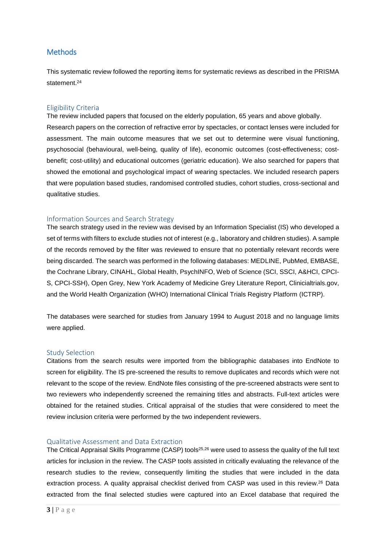# **Methods**

This systematic review followed the reporting items for systematic reviews as described in the PRISMA statement<sup>24</sup>

#### Eligibility Criteria

The review included papers that focused on the elderly population, 65 years and above globally. Research papers on the correction of refractive error by spectacles, or contact lenses were included for assessment. The main outcome measures that we set out to determine were visual functioning, psychosocial (behavioural, well-being, quality of life), economic outcomes (cost-effectiveness; costbenefit; cost-utility) and educational outcomes (geriatric education). We also searched for papers that showed the emotional and psychological impact of wearing spectacles. We included research papers that were population based studies, randomised controlled studies, cohort studies, cross-sectional and qualitative studies.

#### Information Sources and Search Strategy

The search strategy used in the review was devised by an Information Specialist (IS) who developed a set of terms with filters to exclude studies not of interest (e.g., laboratory and children studies). A sample of the records removed by the filter was reviewed to ensure that no potentially relevant records were being discarded. The search was performed in the following databases: MEDLINE, PubMed, EMBASE, the Cochrane Library, CINAHL, Global Health, PsychINFO, Web of Science (SCI, SSCI, A&HCI, CPCI-S, CPCI-SSH), Open Grey, New York Academy of Medicine Grey Literature Report, Clinicialtrials.gov, and the World Health Organization (WHO) International Clinical Trials Registry Platform (ICTRP).

The databases were searched for studies from January 1994 to August 2018 and no language limits were applied.

### Study Selection

Citations from the search results were imported from the bibliographic databases into EndNote to screen for eligibility. The IS pre-screened the results to remove duplicates and records which were not relevant to the scope of the review. EndNote files consisting of the pre-screened abstracts were sent to two reviewers who independently screened the remaining titles and abstracts. Full-text articles were obtained for the retained studies. Critical appraisal of the studies that were considered to meet the review inclusion criteria were performed by the two independent reviewers.

#### Qualitative Assessment and Data Extraction

The Critical Appraisal Skills Programme (CASP) tools<sup>25,26</sup> were used to assess the quality of the full text articles for inclusion in the review. The CASP tools assisted in critically evaluating the relevance of the research studies to the review, consequently limiting the studies that were included in the data extraction process. A quality appraisal checklist derived from CASP was used in this review.<sup>26</sup> Data extracted from the final selected studies were captured into an Excel database that required the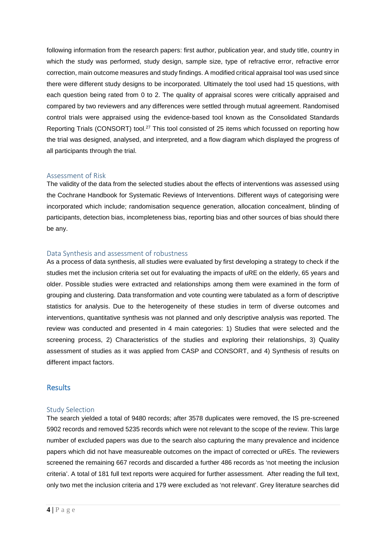following information from the research papers: first author, publication year, and study title, country in which the study was performed, study design, sample size, type of refractive error, refractive error correction, main outcome measures and study findings. A modified critical appraisal tool was used since there were different study designs to be incorporated. Ultimately the tool used had 15 questions, with each question being rated from 0 to 2. The quality of appraisal scores were critically appraised and compared by two reviewers and any differences were settled through mutual agreement. Randomised control trials were appraised using the evidence-based tool known as the Consolidated Standards Reporting Trials (CONSORT) tool.27 This tool consisted of 25 items which focussed on reporting how the trial was designed, analysed, and interpreted, and a flow diagram which displayed the progress of all participants through the trial.

### Assessment of Risk

The validity of the data from the selected studies about the effects of interventions was assessed using the Cochrane Handbook for Systematic Reviews of Interventions. Different ways of categorising were incorporated which include; randomisation sequence generation, allocation concealment, blinding of participants, detection bias, incompleteness bias, reporting bias and other sources of bias should there be any.

### Data Synthesis and assessment of robustness

As a process of data synthesis, all studies were evaluated by first developing a strategy to check if the studies met the inclusion criteria set out for evaluating the impacts of uRE on the elderly, 65 years and older. Possible studies were extracted and relationships among them were examined in the form of grouping and clustering. Data transformation and vote counting were tabulated as a form of descriptive statistics for analysis. Due to the heterogeneity of these studies in term of diverse outcomes and interventions, quantitative synthesis was not planned and only descriptive analysis was reported. The review was conducted and presented in 4 main categories: 1) Studies that were selected and the screening process, 2) Characteristics of the studies and exploring their relationships, 3) Quality assessment of studies as it was applied from CASP and CONSORT, and 4) Synthesis of results on different impact factors.

## Results

#### Study Selection

The search yielded a total of 9480 records; after 3578 duplicates were removed, the IS pre-screened 5902 records and removed 5235 records which were not relevant to the scope of the review. This large number of excluded papers was due to the search also capturing the many prevalence and incidence papers which did not have measureable outcomes on the impact of corrected or uREs. The reviewers screened the remaining 667 records and discarded a further 486 records as 'not meeting the inclusion criteria'. A total of 181 full text reports were acquired for further assessment. After reading the full text, only two met the inclusion criteria and 179 were excluded as 'not relevant'. Grey literature searches did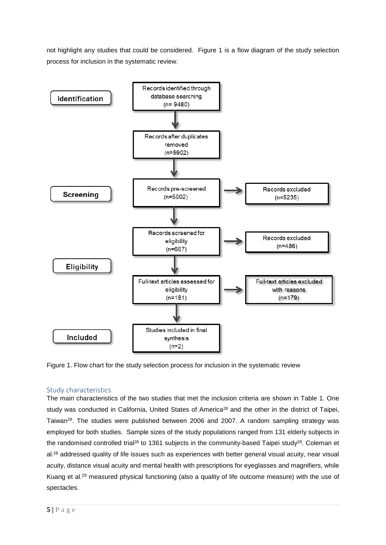not highlight any studies that could be considered. Figure 1 is a flow diagram of the study selection process for inclusion in the systematic review.



Figure 1. Flow chart for the study selection process for inclusion in the systematic review

# Study characteristics

The main characteristics of the two studies that met the inclusion criteria are shown in Table 1. One study was conducted in California, United States of America<sup>28</sup> and the other in the district of Taipei, Taiwan<sup>29</sup>. The studies were published between 2006 and 2007. A random sampling strategy was employed for both studies. Sample sizes of the study populations ranged from 131 elderly subjects in the randomised controlled trial<sup>28</sup> to 1361 subjects in the community-based Taipei study<sup>29</sup>. Coleman et al.<sup>28</sup> addressed quality of life issues such as experiences with better general visual acuity, near visual acuity, distance visual acuity and mental health with prescriptions for eyeglasses and magnifiers, while Kuang et al.29 measured physical functioning (also a quality of life outcome measure) with the use of spectacles.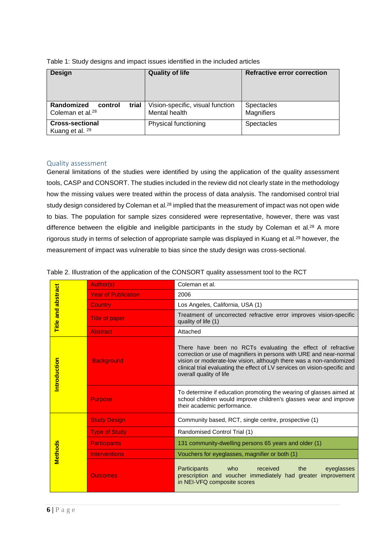| <b>Design</b>                                                  | <b>Quality of life</b>                            | Refractive error correction            |
|----------------------------------------------------------------|---------------------------------------------------|----------------------------------------|
| Randomized<br>trial<br>control<br>Coleman et al. <sup>28</sup> | Vision-specific, visual function<br>Mental health | <b>Spectacles</b><br><b>Magnifiers</b> |
| <b>Cross-sectional</b><br>Kuang et al. 29                      | Physical functioning                              | <b>Spectacles</b>                      |

Table 1: Study designs and impact issues identified in the included articles

## Quality assessment

General limitations of the studies were identified by using the application of the quality assessment tools, CASP and CONSORT. The studies included in the review did not clearly state in the methodology how the missing values were treated within the process of data analysis. The randomised control trial study design considered by Coleman et al.<sup>28</sup> implied that the measurement of impact was not open wide to bias. The population for sample sizes considered were representative, however, there was vast difference between the eligible and ineligible participants in the study by Coleman et al.<sup>28</sup> A more rigorous study in terms of selection of appropriate sample was displayed in Kuang et al.<sup>29</sup> however, the measurement of impact was vulnerable to bias since the study design was cross-sectional.

| Table 2. Illustration of the application of the CONSORT quality assessment tool to the RCT |  |  |
|--------------------------------------------------------------------------------------------|--|--|

| <b>Title and abstract</b> | Author(s)                  | Coleman et al.                                                                                                                                                                                                                                                                                                    |  |
|---------------------------|----------------------------|-------------------------------------------------------------------------------------------------------------------------------------------------------------------------------------------------------------------------------------------------------------------------------------------------------------------|--|
|                           | <b>Year of Publication</b> | 2006                                                                                                                                                                                                                                                                                                              |  |
|                           | <b>Country</b>             | Los Angeles, California, USA (1)                                                                                                                                                                                                                                                                                  |  |
|                           | <b>Title of paper</b>      | Treatment of uncorrected refractive error improves vision-specific<br>quality of life (1)                                                                                                                                                                                                                         |  |
|                           | <b>Abstract</b>            | Attached                                                                                                                                                                                                                                                                                                          |  |
| Introduction              | <b>Background</b>          | There have been no RCTs evaluating the effect of refractive<br>correction or use of magnifiers in persons with URE and near-normal<br>vision or moderate-low vision, although there was a non-randomized<br>clinical trial evaluating the effect of LV services on vision-specific and<br>overall quality of life |  |
|                           | <b>Purpose</b>             | To determine if education promoting the wearing of glasses aimed at<br>school children would improve children's glasses wear and improve<br>their academic performance.                                                                                                                                           |  |
| <b>Methods</b>            | <b>Study Design</b>        | Community based, RCT, single centre, prospective (1)                                                                                                                                                                                                                                                              |  |
|                           | <b>Type of Study</b>       | Randomised Control Trial (1)                                                                                                                                                                                                                                                                                      |  |
|                           | <b>Participants</b>        | 131 community-dwelling persons 65 years and older (1)                                                                                                                                                                                                                                                             |  |
|                           | <b>Interventions</b>       | Vouchers for eyeglasses, magnifier or both (1)                                                                                                                                                                                                                                                                    |  |
|                           | <b>Outcomes</b>            | Participants<br>who<br>received<br>eyeglasses<br>the<br>prescription and voucher immediately had greater<br>improvement<br>in NEI-VFQ composite scores                                                                                                                                                            |  |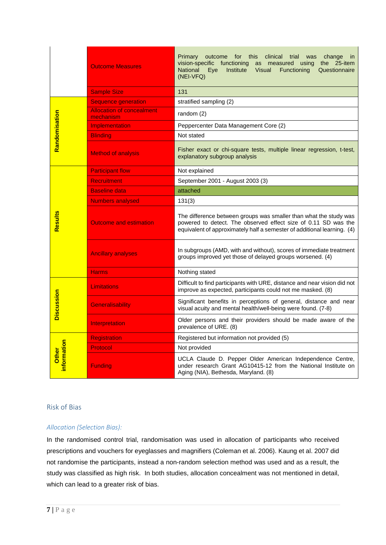|                      | <b>Outcome Measures</b>                       | Primary<br>for this<br>clinical<br>outcome<br>trial<br>was<br>change<br>in.<br>vision-specific functioning<br>the 25-item<br>as measured using<br><b>National</b><br>Institute<br>Functioning<br>Eye<br><b>Visual</b><br>Questionnaire<br>$(NEI-VFQ)$ |  |
|----------------------|-----------------------------------------------|-------------------------------------------------------------------------------------------------------------------------------------------------------------------------------------------------------------------------------------------------------|--|
|                      | <b>Sample Size</b>                            | 131                                                                                                                                                                                                                                                   |  |
|                      | <b>Sequence generation</b>                    | stratified sampling (2)                                                                                                                                                                                                                               |  |
| Randomisation        | <b>Allocation of concealment</b><br>mechanism | random (2)                                                                                                                                                                                                                                            |  |
|                      | Implementation                                | Peppercenter Data Management Core (2)                                                                                                                                                                                                                 |  |
|                      | <b>Blinding</b>                               | Not stated                                                                                                                                                                                                                                            |  |
|                      | <b>Method of analysis</b>                     | Fisher exact or chi-square tests, multiple linear regression, t-test,<br>explanatory subgroup analysis                                                                                                                                                |  |
| Results              | <b>Participant flow</b>                       | Not explained                                                                                                                                                                                                                                         |  |
|                      | <b>Recruitment</b>                            | September 2001 - August 2003 (3)                                                                                                                                                                                                                      |  |
|                      | <b>Baseline data</b>                          | attached                                                                                                                                                                                                                                              |  |
|                      | <b>Numbers analysed</b>                       | 131(3)                                                                                                                                                                                                                                                |  |
|                      | <b>Outcome and estimation</b>                 | The difference between groups was smaller than what the study was<br>powered to detect. The observed effect size of 0.11 SD was the<br>equivalent of approximately half a semester of additional learning. (4)                                        |  |
|                      | <b>Ancillary analyses</b>                     | In subgroups (AMD, with and without), scores of immediate treatment<br>groups improved yet those of delayed groups worsened. (4)                                                                                                                      |  |
|                      | <b>Harms</b>                                  | Nothing stated                                                                                                                                                                                                                                        |  |
| <b>Discussion</b>    | Limitations                                   | Difficult to find participants with URE, distance and near vision did not<br>improve as expected, participants could not me masked. (8)                                                                                                               |  |
|                      | Generalisability                              | Significant benefits in perceptions of general, distance and near<br>visual acuity and mental health/well-being were found. (7-8)                                                                                                                     |  |
|                      | Interpretation                                | Older persons and their providers should be made aware of the<br>prevalence of URE. (8)                                                                                                                                                               |  |
| information<br>Other | <b>Registration</b>                           | Registered but information not provided (5)                                                                                                                                                                                                           |  |
|                      | Protocol                                      | Not provided                                                                                                                                                                                                                                          |  |
|                      | <b>Funding</b>                                | UCLA Claude D. Pepper Older American Independence Centre,<br>under research Grant AG10415-12 from the National Institute on<br>Aging (NIA), Bethesda, Maryland. (8)                                                                                   |  |

#### Risk of Bias

## *Allocation (Selection Bias):*

In the randomised control trial, randomisation was used in allocation of participants who received prescriptions and vouchers for eyeglasses and magnifiers (Coleman et al. 2006). Kaung et al. 2007 did not randomise the participants, instead a non-random selection method was used and as a result, the study was classified as high risk. In both studies, allocation concealment was not mentioned in detail, which can lead to a greater risk of bias.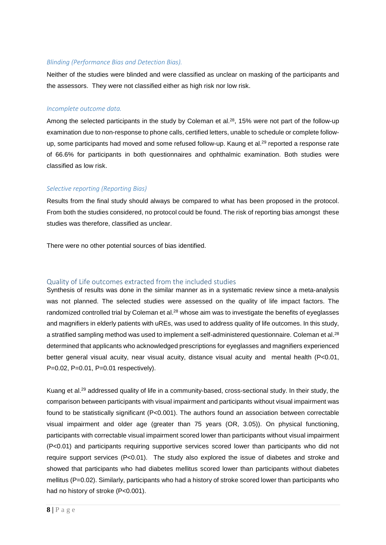### *Blinding (Performance Bias and Detection Bias).*

Neither of the studies were blinded and were classified as unclear on masking of the participants and the assessors. They were not classified either as high risk nor low risk.

#### *Incomplete outcome data.*

Among the selected participants in the study by Coleman et al.<sup>28</sup>, 15% were not part of the follow-up examination due to non-response to phone calls, certified letters, unable to schedule or complete followup, some participants had moved and some refused follow-up. Kaung et al.29 reported a response rate of 66.6% for participants in both questionnaires and ophthalmic examination. Both studies were classified as low risk.

## *Selective reporting (Reporting Bias)*

Results from the final study should always be compared to what has been proposed in the protocol. From both the studies considered, no protocol could be found. The risk of reporting bias amongst these studies was therefore, classified as unclear.

There were no other potential sources of bias identified.

## Quality of Life outcomes extracted from the included studies

Synthesis of results was done in the similar manner as in a systematic review since a meta-analysis was not planned. The selected studies were assessed on the quality of life impact factors. The randomized controlled trial by Coleman et al.<sup>28</sup> whose aim was to investigate the benefits of eyeglasses and magnifiers in elderly patients with uREs, was used to address quality of life outcomes. In this study, a stratified sampling method was used to implement a self-administered questionnaire. Coleman et al.<sup>28</sup> determined that applicants who acknowledged prescriptions for eyeglasses and magnifiers experienced better general visual acuity, near visual acuity, distance visual acuity and mental health (P<0.01, P=0.02, P=0.01, P=0.01 respectively).

Kuang et al.29 addressed quality of life in a community-based, cross-sectional study. In their study, the comparison between participants with visual impairment and participants without visual impairment was found to be statistically significant (P<0.001). The authors found an association between correctable visual impairment and older age (greater than 75 years (OR, 3.05)). On physical functioning, participants with correctable visual impairment scored lower than participants without visual impairment (P<0.01) and participants requiring supportive services scored lower than participants who did not require support services (P<0.01). The study also explored the issue of diabetes and stroke and showed that participants who had diabetes mellitus scored lower than participants without diabetes mellitus (P=0.02). Similarly, participants who had a history of stroke scored lower than participants who had no history of stroke (P<0.001).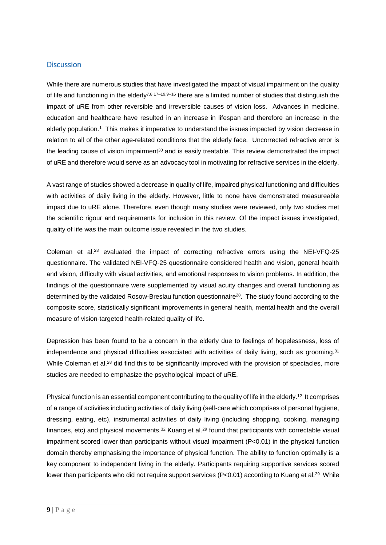# **Discussion**

While there are numerous studies that have investigated the impact of visual impairment on the quality of life and functioning in the elderly<sup>7,8,17–19,9–16</sup> there are a limited number of studies that distinguish the impact of uRE from other reversible and irreversible causes of vision loss. Advances in medicine, education and healthcare have resulted in an increase in lifespan and therefore an increase in the elderly population.1 This makes it imperative to understand the issues impacted by vision decrease in relation to all of the other age-related conditions that the elderly face. Uncorrected refractive error is the leading cause of vision impairment $30$  and is easily treatable. This review demonstrated the impact of uRE and therefore would serve as an advocacy tool in motivating for refractive services in the elderly.

A vast range of studies showed a decrease in quality of life, impaired physical functioning and difficulties with activities of daily living in the elderly. However, little to none have demonstrated measureable impact due to uRE alone. Therefore, even though many studies were reviewed, only two studies met the scientific rigour and requirements for inclusion in this review. Of the impact issues investigated, quality of life was the main outcome issue revealed in the two studies.

Coleman et al.28 evaluated the impact of correcting refractive errors using the NEI-VFQ-25 questionnaire. The validated NEI-VFQ-25 questionnaire considered health and vision, general health and vision, difficulty with visual activities, and emotional responses to vision problems. In addition, the findings of the questionnaire were supplemented by visual acuity changes and overall functioning as determined by the validated Rosow-Breslau function questionnaire<sup>28</sup>. The study found according to the composite score, statistically significant improvements in general health, mental health and the overall measure of vision-targeted health-related quality of life.

Depression has been found to be a concern in the elderly due to feelings of hopelessness, loss of independence and physical difficulties associated with activities of daily living, such as grooming.<sup>31</sup> While Coleman et al.<sup>28</sup> did find this to be significantly improved with the provision of spectacles, more studies are needed to emphasize the psychological impact of uRE.

Physical function is an essential component contributing to the quality of life in the elderly.<sup>12</sup> It comprises of a range of activities including activities of daily living (self-care which comprises of personal hygiene, dressing, eating, etc), instrumental activities of daily living (including shopping, cooking, managing finances, etc) and physical movements. $32$  Kuang et al. $29$  found that participants with correctable visual impairment scored lower than participants without visual impairment (P<0.01) in the physical function domain thereby emphasising the importance of physical function. The ability to function optimally is a key component to independent living in the elderly. Participants requiring supportive services scored lower than participants who did not require support services (P<0.01) according to Kuang et al.<sup>29</sup> While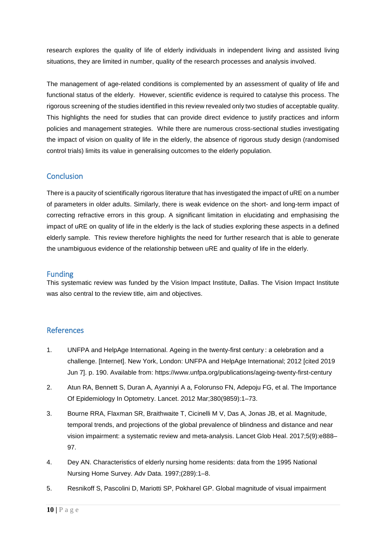research explores the quality of life of elderly individuals in independent living and assisted living situations, they are limited in number, quality of the research processes and analysis involved.

The management of age-related conditions is complemented by an assessment of quality of life and functional status of the elderly. However, scientific evidence is required to catalyse this process. The rigorous screening of the studies identified in this review revealed only two studies of acceptable quality. This highlights the need for studies that can provide direct evidence to justify practices and inform policies and management strategies. While there are numerous cross-sectional studies investigating the impact of vision on quality of life in the elderly, the absence of rigorous study design (randomised control trials) limits its value in generalising outcomes to the elderly population.

# **Conclusion**

There is a paucity of scientifically rigorous literature that has investigated the impact of uRE on a number of parameters in older adults. Similarly, there is weak evidence on the short- and long-term impact of correcting refractive errors in this group. A significant limitation in elucidating and emphasising the impact of uRE on quality of life in the elderly is the lack of studies exploring these aspects in a defined elderly sample. This review therefore highlights the need for further research that is able to generate the unambiguous evidence of the relationship between uRE and quality of life in the elderly.

# Funding

This systematic review was funded by the Vision Impact Institute, Dallas. The Vision Impact Institute was also central to the review title, aim and objectives.

# References

- 1. UNFPA and HelpAge International. Ageing in the twenty-first century : a celebration and a challenge. [Internet]. New York, London: UNFPA and HelpAge International; 2012 [cited 2019 Jun 7]. p. 190. Available from: https://www.unfpa.org/publications/ageing-twenty-first-century
- 2. Atun RA, Bennett S, Duran A, Ayanniyi A a, Folorunso FN, Adepoju FG, et al. The Importance Of Epidemiology In Optometry. Lancet. 2012 Mar;380(9859):1–73.
- 3. Bourne RRA, Flaxman SR, Braithwaite T, Cicinelli M V, Das A, Jonas JB, et al. Magnitude, temporal trends, and projections of the global prevalence of blindness and distance and near vision impairment: a systematic review and meta-analysis. Lancet Glob Heal. 2017;5(9):e888– 97.
- 4. Dey AN. Characteristics of elderly nursing home residents: data from the 1995 National Nursing Home Survey. Adv Data. 1997;(289):1–8.
- 5. Resnikoff S, Pascolini D, Mariotti SP, Pokharel GP. Global magnitude of visual impairment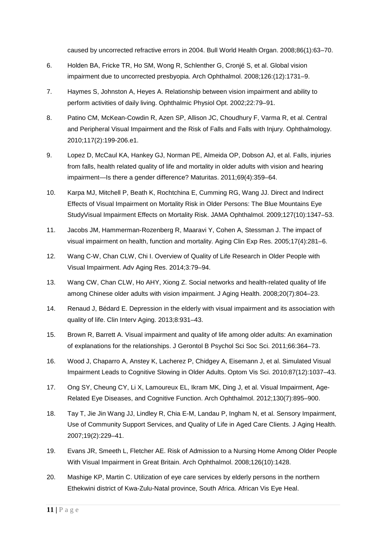caused by uncorrected refractive errors in 2004. Bull World Health Organ. 2008;86(1):63–70.

- 6. Holden BA, Fricke TR, Ho SM, Wong R, Schlenther G, Cronjé S, et al. Global vision impairment due to uncorrected presbyopia. Arch Ophthalmol. 2008;126:(12):1731–9.
- 7. Haymes S, Johnston A, Heyes A. Relationship between vision impairment and ability to perform activities of daily living. Ophthalmic Physiol Opt. 2002;22:79–91.
- 8. Patino CM, McKean-Cowdin R, Azen SP, Allison JC, Choudhury F, Varma R, et al. Central and Peripheral Visual Impairment and the Risk of Falls and Falls with Injury. Ophthalmology. 2010;117(2):199-206.e1.
- 9. Lopez D, McCaul KA, Hankey GJ, Norman PE, Almeida OP, Dobson AJ, et al. Falls, injuries from falls, health related quality of life and mortality in older adults with vision and hearing impairment—Is there a gender difference? Maturitas. 2011;69(4):359–64.
- 10. Karpa MJ, Mitchell P, Beath K, Rochtchina E, Cumming RG, Wang JJ. Direct and Indirect Effects of Visual Impairment on Mortality Risk in Older Persons: The Blue Mountains Eye StudyVisual Impairment Effects on Mortality Risk. JAMA Ophthalmol. 2009;127(10):1347–53.
- 11. Jacobs JM, Hammerman-Rozenberg R, Maaravi Y, Cohen A, Stessman J. The impact of visual impairment on health, function and mortality. Aging Clin Exp Res. 2005;17(4):281–6.
- 12. Wang C-W, Chan CLW, Chi I. Overview of Quality of Life Research in Older People with Visual Impairment. Adv Aging Res. 2014;3:79–94.
- 13. Wang CW, Chan CLW, Ho AHY, Xiong Z. Social networks and health-related quality of life among Chinese older adults with vision impairment. J Aging Health. 2008;20(7):804–23.
- 14. Renaud J, Bédard E. Depression in the elderly with visual impairment and its association with quality of life. Clin Interv Aging. 2013;8:931–43.
- 15. Brown R, Barrett A. Visual impairment and quality of life among older adults: An examination of explanations for the relationships. J Gerontol B Psychol Sci Soc Sci. 2011;66:364–73.
- 16. Wood J, Chaparro A, Anstey K, Lacherez P, Chidgey A, Eisemann J, et al. Simulated Visual Impairment Leads to Cognitive Slowing in Older Adults. Optom Vis Sci. 2010;87(12):1037–43.
- 17. Ong SY, Cheung CY, Li X, Lamoureux EL, Ikram MK, Ding J, et al. Visual Impairment, Age-Related Eye Diseases, and Cognitive Function. Arch Ophthalmol. 2012;130(7):895–900.
- 18. Tay T, Jie Jin Wang JJ, Lindley R, Chia E-M, Landau P, Ingham N, et al. Sensory Impairment, Use of Community Support Services, and Quality of Life in Aged Care Clients. J Aging Health. 2007;19(2):229–41.
- 19. Evans JR, Smeeth L, Fletcher AE. Risk of Admission to a Nursing Home Among Older People With Visual Impairment in Great Britain. Arch Ophthalmol. 2008;126(10):1428.
- 20. Mashige KP, Martin C. Utilization of eye care services by elderly persons in the northern Ethekwini district of Kwa-Zulu-Natal province, South Africa. African Vis Eye Heal.